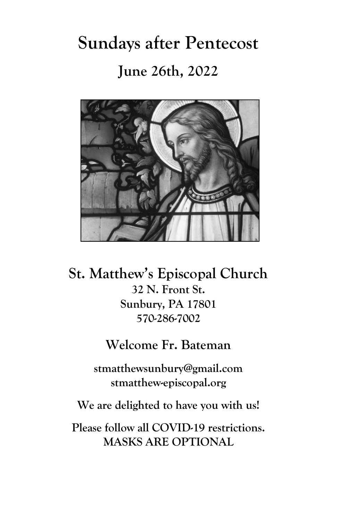**Sundays after Pentecost June 26th, 2022**



**St. Matthew's Episcopal Church 32 N. Front St. Sunbury, PA 17801 570-286-7002**

# **Welcome Fr. Bateman**

**stmatthewsunbury@gmail.com stmatthew-episcopal.org**

**We are delighted to have you with us!**

**Please follow all COVID-19 restrictions. MASKS ARE OPTIONAL**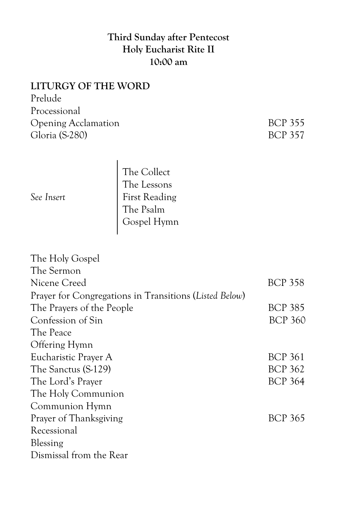# **Third Sunday after Pentecost Holy Eucharist Rite II 10:00 am**

# **LITURGY OF THE WORD** Prelude Processional Opening Acclamation BCP 355 Gloria (S-280) BCP 357 The Collect The Lessons **See Insert** First Reading The Psalm Gospel Hymn The Holy Gospel The Sermon Nicene Creed BCP 358 Prayer for Congregations in Transitions (*Listed Below*) The Prayers of the People BCP 385 Confession of Sin BCP 360 The Peace Offering Hymn Eucharistic Prayer A BCP 361 The Sanctus (S-129) BCP 362 The Lord's Prayer BCP 364 The Holy Communion Communion Hymn Prayer of Thanksgiving BCP 365 Recessional Blessing Dismissal from the Rear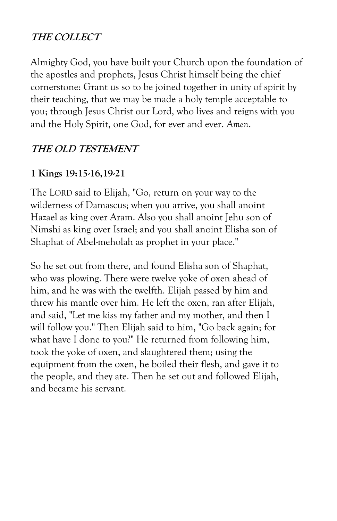# **THE COLLECT**

Almighty God, you have built your Church upon the foundation of the apostles and prophets, Jesus Christ himself being the chief cornerstone: Grant us so to be joined together in unity of spirit by their teaching, that we may be made a holy temple acceptable to you; through Jesus Christ our Lord, who lives and reigns with you and the Holy Spirit, one God, for ever and ever. *Amen*.

# **THE OLD TESTEMENT**

# **1 Kings 19:15-16,19-21**

The LORD said to Elijah, "Go, return on your way to the wilderness of Damascus; when you arrive, you shall anoint Hazael as king over Aram. Also you shall anoint Jehu son of Nimshi as king over Israel; and you shall anoint Elisha son of Shaphat of Abel-meholah as prophet in your place."

So he set out from there, and found Elisha son of Shaphat, who was plowing. There were twelve yoke of oxen ahead of him, and he was with the twelfth. Elijah passed by him and threw his mantle over him. He left the oxen, ran after Elijah, and said, "Let me kiss my father and my mother, and then I will follow you." Then Elijah said to him, "Go back again; for what have I done to you?" He returned from following him, took the yoke of oxen, and slaughtered them; using the equipment from the oxen, he boiled their flesh, and gave it to the people, and they ate. Then he set out and followed Elijah, and became his servant.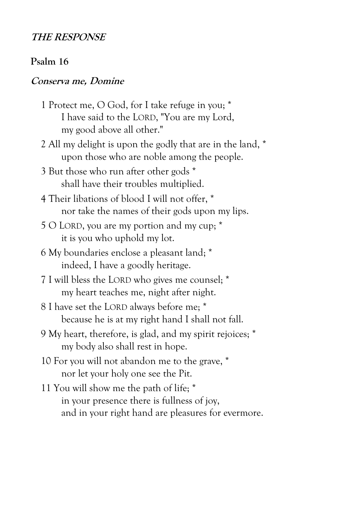# **THE RESPONSE**

## **Psalm 16**

#### **Conserva me, Domine**

in your presence there is fullness of joy, and in your right hand are pleasures for evermore.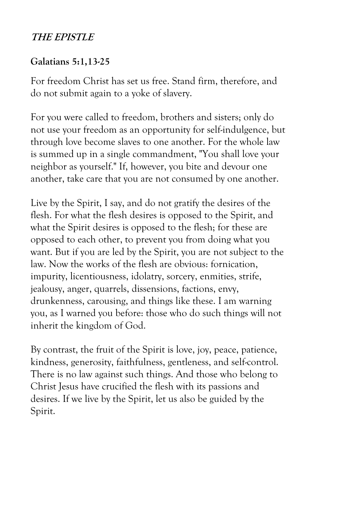# **THE EPISTLE**

#### **Galatians 5:1,13-25**

For freedom Christ has set us free. Stand firm, therefore, and do not submit again to a yoke of slavery.

For you were called to freedom, brothers and sisters; only do not use your freedom as an opportunity for self-indulgence, but through love become slaves to one another. For the whole law is summed up in a single commandment, "You shall love your neighbor as yourself." If, however, you bite and devour one another, take care that you are not consumed by one another.

Live by the Spirit, I say, and do not gratify the desires of the flesh. For what the flesh desires is opposed to the Spirit, and what the Spirit desires is opposed to the flesh; for these are opposed to each other, to prevent you from doing what you want. But if you are led by the Spirit, you are not subject to the law. Now the works of the flesh are obvious: fornication, impurity, licentiousness, idolatry, sorcery, enmities, strife, jealousy, anger, quarrels, dissensions, factions, envy, drunkenness, carousing, and things like these. I am warning you, as I warned you before: those who do such things will not inherit the kingdom of God.

By contrast, the fruit of the Spirit is love, joy, peace, patience, kindness, generosity, faithfulness, gentleness, and self-control. There is no law against such things. And those who belong to Christ Jesus have crucified the flesh with its passions and desires. If we live by the Spirit, let us also be guided by the Spirit.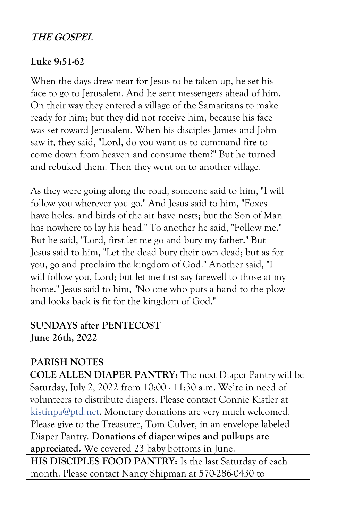## **THE GOSPEL**

#### **Luke 9:51-62**

When the days drew near for Jesus to be taken up, he set his face to go to Jerusalem. And he sent messengers ahead of him. On their way they entered a village of the Samaritans to make ready for him; but they did not receive him, because his face was set toward Jerusalem. When his disciples James and John saw it, they said, "Lord, do you want us to command fire to come down from heaven and consume them?" But he turned and rebuked them. Then they went on to another village.

As they were going along the road, someone said to him, "I will follow you wherever you go." And Jesus said to him, "Foxes have holes, and birds of the air have nests; but the Son of Man has nowhere to lay his head." To another he said, "Follow me." But he said, "Lord, first let me go and bury my father." But Jesus said to him, "Let the dead bury their own dead; but as for you, go and proclaim the kingdom of God." Another said, "I will follow you, Lord; but let me first say farewell to those at my home." Jesus said to him, "No one who puts a hand to the plow and looks back is fit for the kingdom of God."

# **SUNDAYS after PENTECOST June 26th, 2022**

### **PARISH NOTES**

**COLE ALLEN DIAPER PANTRY:** The next Diaper Pantry will be Saturday, July 2, 2022 from 10:00 - 11:30 a.m. We're in need of volunteers to distribute diapers. Please contact Connie Kistler at kistinpa@ptd.net. Monetary donations are very much welcomed. Please give to the Treasurer, Tom Culver, in an envelope labeled Diaper Pantry. **Donations of diaper wipes and pull-ups are appreciated.** We covered 23 baby bottoms in June. **HIS DISCIPLES FOOD PANTRY:** Is the last Saturday of each month. Please contact Nancy Shipman at 570-286-0430 to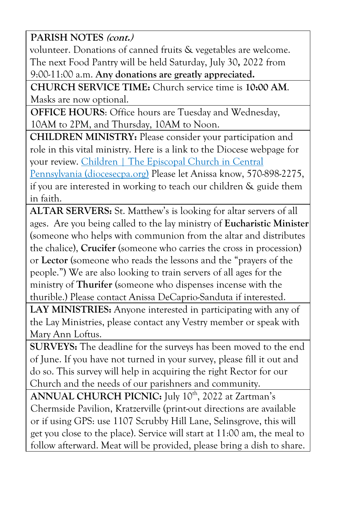**PARISH NOTES (cont.)**

volunteer. Donations of canned fruits & vegetables are welcome. The next Food Pantry will be held Saturday, July 30**,** 2022 from

9:00-11:00 a.m. **Any donations are greatly appreciated.**

**CHURCH SERVICE TIME:** Church service time is **10:00 AM**. Masks are now optional.

**OFFICE HOURS**: Office hours are Tuesday and Wednesday, 10AM to 2PM, and Thursday, 10AM to Noon.

**CHILDREN MINISTRY:** Please consider your participation and role in this vital ministry. Here is a link to the Diocese webpage for your review. [Children | The Episcopal Church in Central](https://diocesecpa.org/children/) 

[Pennsylvania \(diocesecpa.org\)](https://diocesecpa.org/children/) Please let Anissa know, 570-898-2275, if you are interested in working to teach our children & guide them in faith.

**ALTAR SERVERS:** St. Matthew's is looking for altar servers of all ages. Are you being called to the lay ministry of **Eucharistic Minister** (someone who helps with communion from the altar and distributes the chalice), **Crucifer** (someone who carries the cross in procession) or **Lector** (someone who reads the lessons and the "prayers of the people.") We are also looking to train servers of all ages for the ministry of **Thurifer** (someone who dispenses incense with the thurible.) Please contact Anissa DeCaprio-Sanduta if interested.

**LAY MINISTRIES:** Anyone interested in participating with any of the Lay Ministries, please contact any Vestry member or speak with Mary Ann Loftus.

**SURVEYS:** The deadline for the surveys has been moved to the end of June. If you have not turned in your survey, please fill it out and do so. This survey will help in acquiring the right Rector for our Church and the needs of our parishners and community.

ANNUAL CHURCH PICNIC: July 10<sup>th</sup>, 2022 at Zartman's Chermside Pavilion, Kratzerville (print-out directions are available or if using GPS: use 1107 Scrubby Hill Lane, Selinsgrove, this will get you close to the place). Service will start at 11:00 am, the meal to follow afterward. Meat will be provided, please bring a dish to share.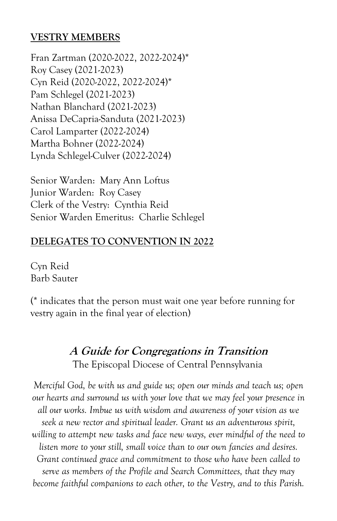#### **VESTRY MEMBERS**

Fran Zartman (2020-2022, 2022-2024)\* Roy Casey (2021-2023) Cyn Reid (2020-2022, 2022-2024)\* Pam Schlegel (2021-2023) Nathan Blanchard (2021-2023) Anissa DeCapria-Sanduta (2021-2023) Carol Lamparter (2022-2024) Martha Bohner (2022-2024) Lynda Schlegel-Culver (2022-2024)

Senior Warden: Mary Ann Loftus Junior Warden: Roy Casey Clerk of the Vestry: Cynthia Reid Senior Warden Emeritus: Charlie Schlegel

#### **DELEGATES TO CONVENTION IN 2022**

Cyn Reid Barb Sauter

(\* indicates that the person must wait one year before running for vestry again in the final year of election)

# **A Guide for Congregations in Transition** The Episcopal Diocese of Central Pennsylvania

*Merciful God, be with us and guide us; open our minds and teach us; open our hearts and surround us with your love that we may feel your presence in all our works. Imbue us with wisdom and awareness of your vision as we seek a new rector and spiritual leader. Grant us an adventurous spirit, willing to attempt new tasks and face new ways, ever mindful of the need to listen more to your still, small voice than to our own fancies and desires. Grant continued grace and commitment to those who have been called to serve as members of the Profile and Search Committees, that they may become faithful companions to each other, to the Vestry, and to this Parish.*